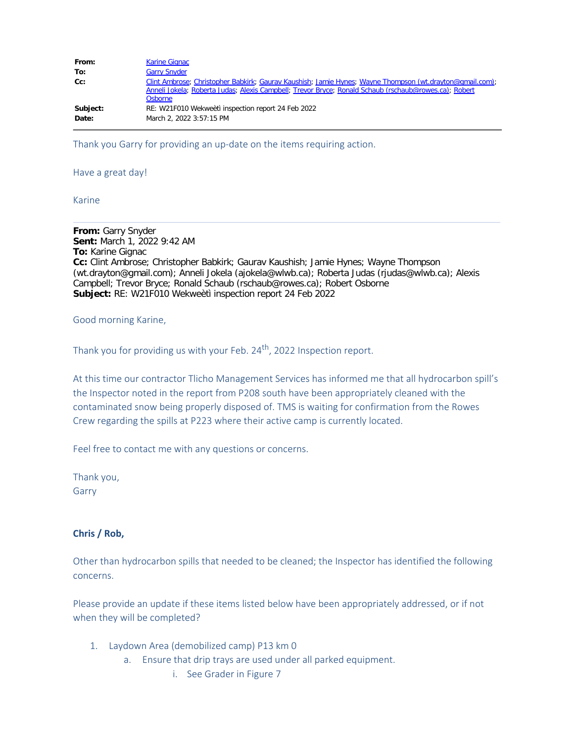| From:    | <b>Karine Gignac</b>                                                                                                                                                                                                         |
|----------|------------------------------------------------------------------------------------------------------------------------------------------------------------------------------------------------------------------------------|
| To:      | <b>Garry Snyder</b>                                                                                                                                                                                                          |
| $Cc$ :   | Clint Ambrose; Christopher Babkirk; Gauray Kaushish; Jamie Hynes; Wayne Thompson (wt.drayton@gmail.com);<br>Anneli Jokela; Roberta Judas; Alexis Campbell; Trevor Bryce; Ronald Schaub (rschaub@rowes.ca); Robert<br>Osborne |
| Subject: | RE: W21F010 Wekweeti inspection report 24 Feb 2022                                                                                                                                                                           |
| Date:    | March 2, 2022 3:57:15 PM                                                                                                                                                                                                     |

Thank you Garry for providing an up-date on the items requiring action.

## Have a great day!

## Karine

**From:** Garry Snyder **Sent:** March 1, 2022 9:42 AM **To:** Karine Gignac **Cc:** Clint Ambrose; Christopher Babkirk; Gaurav Kaushish; Jamie Hynes; Wayne Thompson (wt.drayton@gmail.com); Anneli Jokela (ajokela@wlwb.ca); Roberta Judas (rjudas@wlwb.ca); Alexis Campbell; Trevor Bryce; Ronald Schaub (rschaub@rowes.ca); Robert Osborne **Subject:** RE: W21F010 Wekweètì inspection report 24 Feb 2022

Good morning Karine,

Thank you for providing us with your Feb.  $24<sup>th</sup>$ , 2022 Inspection report.

At this time our contractor Tłicho Management Services has informed me that all hydrocarbon spill's the Inspector noted in the report from P208 south have been appropriately cleaned with the contaminated snow being properly disposed of. TMS is waiting for confirmation from the Rowes Crew regarding the spills at P223 where their active camp is currently located.

Feel free to contact me with any questions or concerns.

Thank you, Garry

### **Chris / Rob,**

Other than hydrocarbon spills that needed to be cleaned; the Inspector has identified the following concerns.

Please provide an update if these items listed below have been appropriately addressed, or if not when they will be completed?

- 1. Laydown Area (demobilized camp) P13 km 0
	- a. Ensure that drip trays are used under all parked equipment.
		- i. See Grader in Figure 7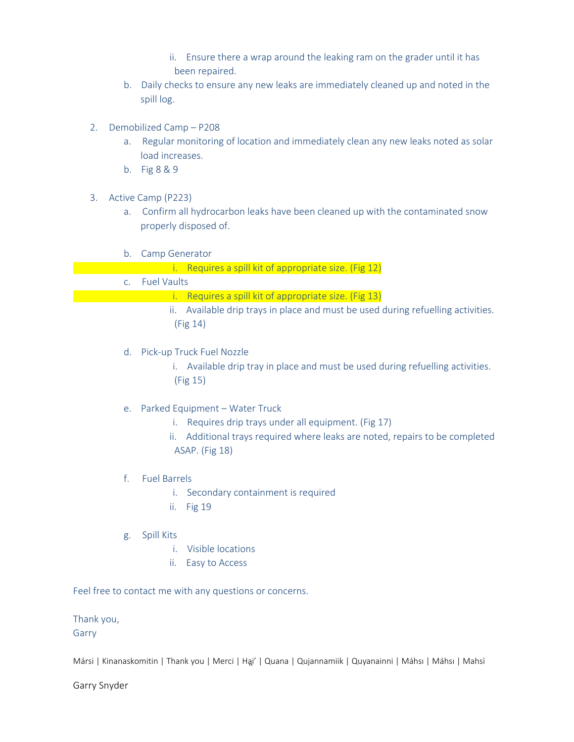- ii. Ensure there a wrap around the leaking ram on the grader until it has been repaired.
- b. Daily checks to ensure any new leaks are immediately cleaned up and noted in the spill log.
- 2. Demobilized Camp P208
	- a. Regular monitoring of location and immediately clean any new leaks noted as solar load increases.
	- b. Fig 8 & 9
- 3. Active Camp (P223)
	- a. Confirm all hydrocarbon leaks have been cleaned up with the contaminated snow properly disposed of.
	- b. Camp Generator
		- i. Requires a spill kit of appropriate size. (Fig 12)
	- c. Fuel Vaults
		- i. Requires a spill kit of appropriate size. (Fig 13)
		- ii. Available drip trays in place and must be used during refuelling activities. (Fig 14)
	- d. Pick-up Truck Fuel Nozzle
		- i. Available drip tray in place and must be used during refuelling activities. (Fig 15)
	- e. Parked Equipment Water Truck
		- i. Requires drip trays under all equipment. (Fig 17)
		- ii. Additional trays required where leaks are noted, repairs to be completed ASAP. (Fig 18)
	- f. Fuel Barrels
		- i. Secondary containment is required
		- ii. Fig 19
	- g. Spill Kits
		- i. Visible locations
		- ii. Easy to Access

Feel free to contact me with any questions or concerns.

Thank you, Garry

Mársi | Kinanaskomitin | Thank you | Merci | Ha̪i' | Quana | Qujannamiik | Quyanainni | Máhsı | Máhsı | Mahsì

Garry Snyder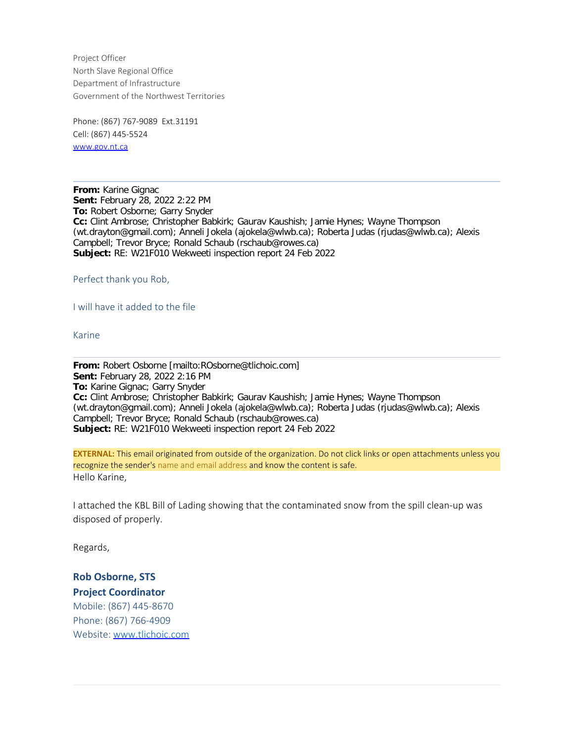Project Officer North Slave Regional Office Department of Infrastructure Government of the Northwest Territories

Phone: (867) 767-9089 Ext.31191 Cell: (867) 445-5524 [www.gov.nt.ca](http://www.gov.nt.ca/)

**From:** Karine Gignac **Sent:** February 28, 2022 2:22 PM **To:** Robert Osborne; Garry Snyder **Cc:** Clint Ambrose; Christopher Babkirk; Gaurav Kaushish; Jamie Hynes; Wayne Thompson (wt.drayton@gmail.com); Anneli Jokela (ajokela@wlwb.ca); Roberta Judas (rjudas@wlwb.ca); Alexis Campbell; Trevor Bryce; Ronald Schaub (rschaub@rowes.ca) **Subject:** RE: W21F010 Wekweeti inspection report 24 Feb 2022

Perfect thank you Rob,

I will have it added to the file

Karine

**From:** Robert Osborne [mailto:ROsborne@tlichoic.com] **Sent:** February 28, 2022 2:16 PM **To:** Karine Gignac; Garry Snyder **Cc:** Clint Ambrose; Christopher Babkirk; Gaurav Kaushish; Jamie Hynes; Wayne Thompson (wt.drayton@gmail.com); Anneli Jokela (ajokela@wlwb.ca); Roberta Judas (rjudas@wlwb.ca); Alexis Campbell; Trevor Bryce; Ronald Schaub (rschaub@rowes.ca) **Subject:** RE: W21F010 Wekweeti inspection report 24 Feb 2022

**EXTERNAL:** This email originated from outside of the organization. Do not click links or open attachments unless you recognize the sender's name and email address and know the content is safe. Hello Karine,

I attached the KBL Bill of Lading showing that the contaminated snow from the spill clean-up was disposed of properly.

Regards,

**Rob Osborne, STS Project Coordinator** Mobile: (867) 445-8670

Phone: (867) 766-4909 Website: [www.tlichoic.com](https://smex-ctp.trendmicro.com/wis/clicktime/v1/query?url=http%3a%2f%2fwww.tlichoic.com&umid=630aced6-a34e-45f5-9af2-2cc855b1778f&auth=d6248c119caddc4614d1eebd029bb5acb3e695df-58c1d86ed7297cdde7d4acab19572447fec4bc72)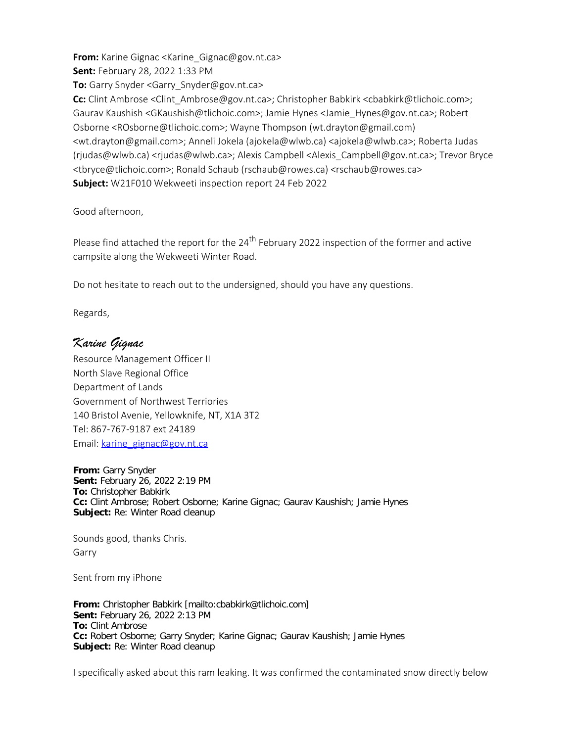**From:** Karine Gignac <Karine\_Gignac@gov.nt.ca> **Sent:** February 28, 2022 1:33 PM **To:** Garry Snyder <Garry\_Snyder@gov.nt.ca> **Cc:** Clint Ambrose <Clint Ambrose@gov.nt.ca>; Christopher Babkirk <cbabkirk@tlichoic.com>; Gaurav Kaushish <GKaushish@tlichoic.com>; Jamie Hynes <Jamie\_Hynes@gov.nt.ca>; Robert Osborne <ROsborne@tlichoic.com>; Wayne Thompson (wt.drayton@gmail.com) <wt.drayton@gmail.com>; Anneli Jokela (ajokela@wlwb.ca) <ajokela@wlwb.ca>; Roberta Judas (rjudas@wlwb.ca) <rjudas@wlwb.ca>; Alexis Campbell <Alexis\_Campbell@gov.nt.ca>; Trevor Bryce <tbryce@tlichoic.com>; Ronald Schaub (rschaub@rowes.ca) <rschaub@rowes.ca> **Subject:** W21F010 Wekweeti inspection report 24 Feb 2022

Good afternoon,

Please find attached the report for the 24<sup>th</sup> February 2022 inspection of the former and active campsite along the Wekweeti Winter Road.

Do not hesitate to reach out to the undersigned, should you have any questions.

Regards,

# *Karine Gignac*

Resource Management Officer II North Slave Regional Office Department of Lands Government of Northwest Terriories 140 Bristol Avenie, Yellowknife, NT, X1A 3T2 Tel: 867-767-9187 ext 24189 Email: [karine\\_gignac@gov.nt.ca](mailto:karine_gignac@gov.nt.ca)

**From:** Garry Snyder **Sent:** February 26, 2022 2:19 PM **To:** Christopher Babkirk **Cc:** Clint Ambrose; Robert Osborne; Karine Gignac; Gaurav Kaushish; Jamie Hynes **Subject:** Re: Winter Road cleanup

Sounds good, thanks Chris. Garry

Sent from my iPhone

**From:** Christopher Babkirk [mailto:cbabkirk@tlichoic.com] **Sent:** February 26, 2022 2:13 PM **To:** Clint Ambrose **Cc:** Robert Osborne; Garry Snyder; Karine Gignac; Gaurav Kaushish; Jamie Hynes **Subject:** Re: Winter Road cleanup

I specifically asked about this ram leaking. It was confirmed the contaminated snow directly below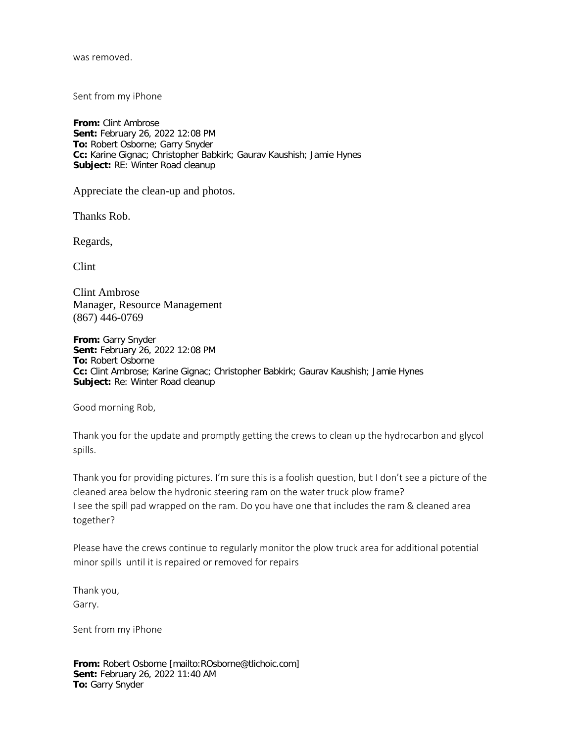was removed.

Sent from my iPhone

**From:** Clint Ambrose **Sent:** February 26, 2022 12:08 PM **To:** Robert Osborne; Garry Snyder **Cc:** Karine Gignac; Christopher Babkirk; Gaurav Kaushish; Jamie Hynes **Subject:** RE: Winter Road cleanup

Appreciate the clean-up and photos.

Thanks Rob.

Regards,

Clint

Clint Ambrose Manager, Resource Management (867) 446-0769

**From:** Garry Snyder **Sent:** February 26, 2022 12:08 PM **To:** Robert Osborne **Cc:** Clint Ambrose; Karine Gignac; Christopher Babkirk; Gaurav Kaushish; Jamie Hynes **Subject:** Re: Winter Road cleanup

Good morning Rob,

Thank you for the update and promptly getting the crews to clean up the hydrocarbon and glycol spills.

Thank you for providing pictures. I'm sure this is a foolish question, but I don't see a picture of the cleaned area below the hydronic steering ram on the water truck plow frame? I see the spill pad wrapped on the ram. Do you have one that includes the ram & cleaned area together?

Please have the crews continue to regularly monitor the plow truck area for additional potential minor spills until it is repaired or removed for repairs

Thank you, Garry.

Sent from my iPhone

**From:** Robert Osborne [mailto:ROsborne@tlichoic.com] **Sent:** February 26, 2022 11:40 AM **To:** Garry Snyder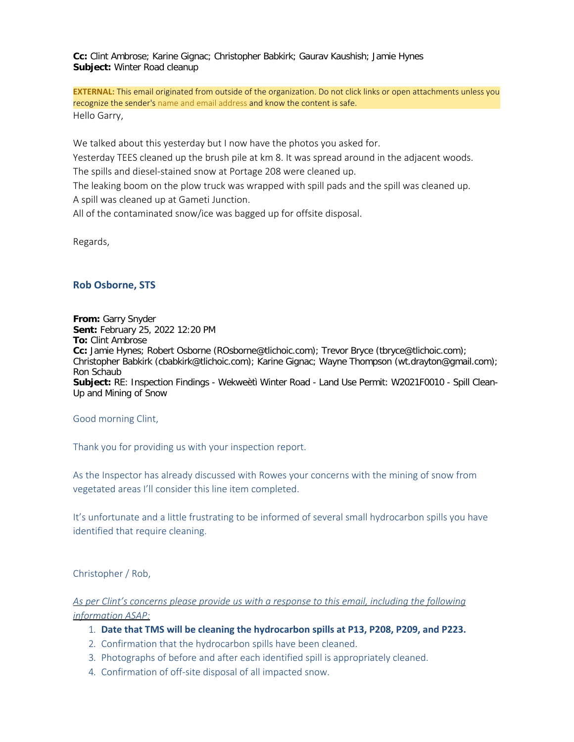**Cc:** Clint Ambrose; Karine Gignac; Christopher Babkirk; Gaurav Kaushish; Jamie Hynes **Subject:** Winter Road cleanup

**EXTERNAL:** This email originated from outside of the organization. Do not click links or open attachments unless you recognize the sender's name and email address and know the content is safe. Hello Garry,

We talked about this yesterday but I now have the photos you asked for.

Yesterday TEES cleaned up the brush pile at km 8. It was spread around in the adjacent woods.

The spills and diesel-stained snow at Portage 208 were cleaned up.

The leaking boom on the plow truck was wrapped with spill pads and the spill was cleaned up. A spill was cleaned up at Gameti Junction.

All of the contaminated snow/ice was bagged up for offsite disposal.

Regards,

# **Rob Osborne, STS**

**From:** Garry Snyder **Sent:** February 25, 2022 12:20 PM **To:** Clint Ambrose **Cc:** Jamie Hynes; Robert Osborne (ROsborne@tlichoic.com); Trevor Bryce (tbryce@tlichoic.com); Christopher Babkirk (cbabkirk@tlichoic.com); Karine Gignac; Wayne Thompson (wt.drayton@gmail.com); Ron Schaub **Subject:** RE: Inspection Findings - Wekweètì Winter Road - Land Use Permit: W2021F0010 - Spill Clean-Up and Mining of Snow

Good morning Clint,

Thank you for providing us with your inspection report.

As the Inspector has already discussed with Rowes your concerns with the mining of snow from vegetated areas I'll consider this line item completed.

It's unfortunate and a little frustrating to be informed of several small hydrocarbon spills you have identified that require cleaning.

Christopher / Rob,

*As per Clint's concerns please provide us with a response to this email, including the following information ASAP:*

- 1. **Date that TMS will be cleaning the hydrocarbon spills at P13, P208, P209, and P223.**
- 2. Confirmation that the hydrocarbon spills have been cleaned.
- 3. Photographs of before and after each identified spill is appropriately cleaned.
- 4. Confirmation of off-site disposal of all impacted snow.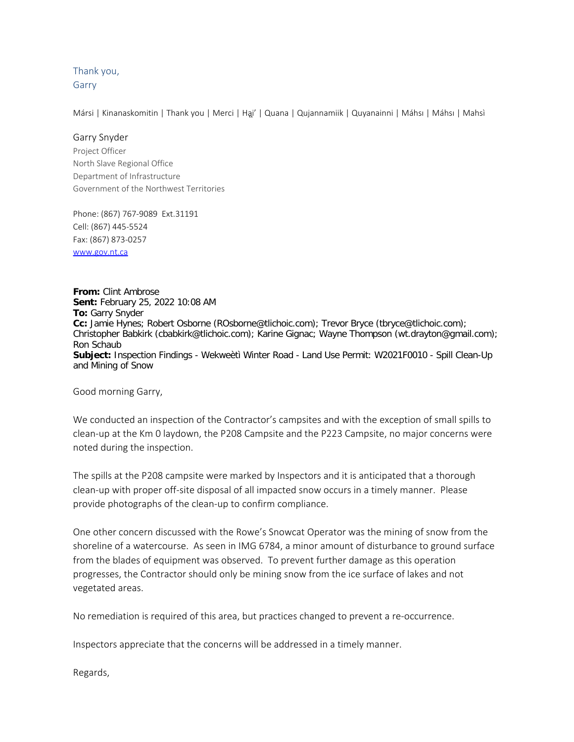Thank you, Garry

Mársi | Kinanaskomitin | Thank you | Merci | Ha̪i' | Quana | Qujannamiik | Quyanainni | Máhsı | Máhsı | Mahsì

#### Garry Snyder

Project Officer North Slave Regional Office Department of Infrastructure Government of the Northwest Territories

Phone: (867) 767-9089 Ext.31191 Cell: (867) 445-5524 Fax: (867) 873-0257 [www.gov.nt.ca](http://www.gov.nt.ca/)

**From:** Clint Ambrose **Sent:** February 25, 2022 10:08 AM **To:** Garry Snyder **Cc:** Jamie Hynes; Robert Osborne (ROsborne@tlichoic.com); Trevor Bryce (tbryce@tlichoic.com); Christopher Babkirk (cbabkirk@tlichoic.com); Karine Gignac; Wayne Thompson (wt.drayton@gmail.com); Ron Schaub **Subject:** Inspection Findings - Wekweètì Winter Road - Land Use Permit: W2021F0010 - Spill Clean-Up and Mining of Snow

Good morning Garry,

We conducted an inspection of the Contractor's campsites and with the exception of small spills to clean-up at the Km 0 laydown, the P208 Campsite and the P223 Campsite, no major concerns were noted during the inspection.

The spills at the P208 campsite were marked by Inspectors and it is anticipated that a thorough clean-up with proper off-site disposal of all impacted snow occurs in a timely manner. Please provide photographs of the clean-up to confirm compliance.

One other concern discussed with the Rowe's Snowcat Operator was the mining of snow from the shoreline of a watercourse. As seen in IMG 6784, a minor amount of disturbance to ground surface from the blades of equipment was observed. To prevent further damage as this operation progresses, the Contractor should only be mining snow from the ice surface of lakes and not vegetated areas.

No remediation is required of this area, but practices changed to prevent a re-occurrence.

Inspectors appreciate that the concerns will be addressed in a timely manner.

Regards,